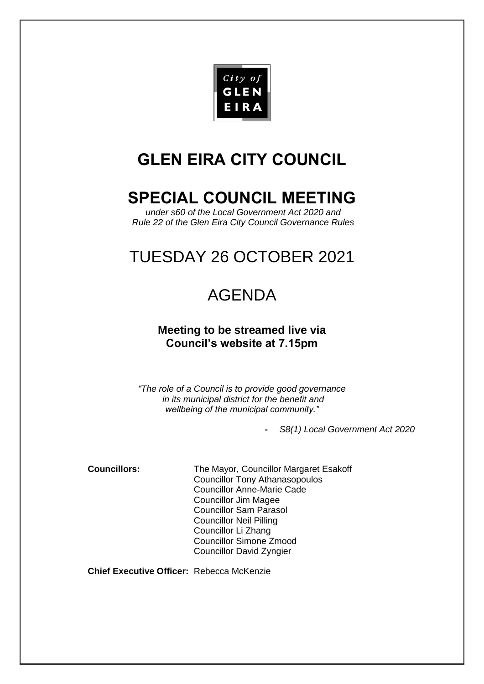

# **GLEN EIRA CITY COUNCIL**

# **SPECIAL COUNCIL MEETING**

*under s60 of the Local Government Act 2020 and Rule 22 of the Glen Eira City Council Governance Rules*

# TUESDAY 26 OCTOBER 2021

# AGENDA

## **Meeting to be streamed live via Council's website at 7.15pm**

*"The role of a Council is to provide good governance in its municipal district for the benefit and wellbeing of the municipal community."*

**-** *S8(1) Local Government Act 2020* 

**Councillors:** The Mayor, Councillor Margaret Esakoff Councillor Tony Athanasopoulos Councillor Anne-Marie Cade Councillor Jim Magee Councillor Sam Parasol Councillor Neil Pilling Councillor Li Zhang Councillor Simone Zmood Councillor David Zyngier

**Chief Executive Officer:** Rebecca McKenzie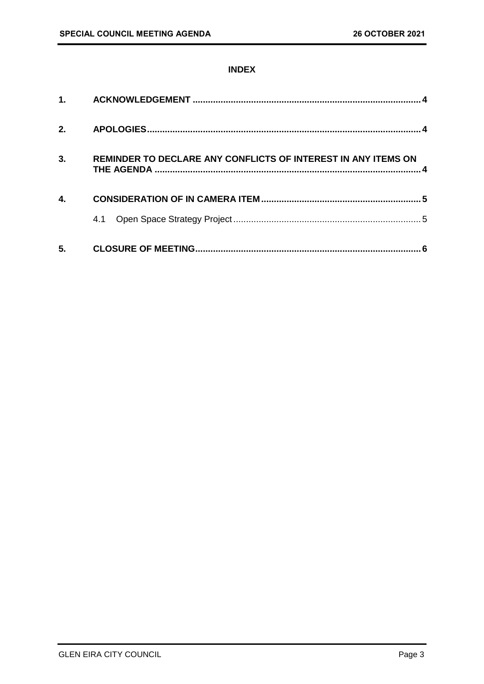### **INDEX**

| $\mathbf 1$ . |                                                               |   |
|---------------|---------------------------------------------------------------|---|
| 2.            |                                                               |   |
| 3.            | REMINDER TO DECLARE ANY CONFLICTS OF INTEREST IN ANY ITEMS ON |   |
| 4.            |                                                               |   |
|               | 4.1                                                           |   |
| 5.            |                                                               | 6 |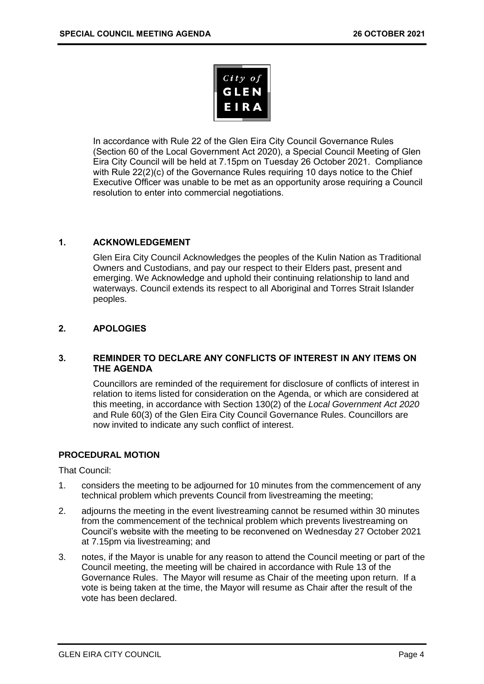

In accordance with Rule 22 of the Glen Eira City Council Governance Rules (Section 60 of the Local Government Act 2020), a Special Council Meeting of Glen Eira City Council will be held at 7.15pm on Tuesday 26 October 2021. Compliance with Rule 22(2)(c) of the Governance Rules requiring 10 days notice to the Chief Executive Officer was unable to be met as an opportunity arose requiring a Council resolution to enter into commercial negotiations.

### <span id="page-3-0"></span>**1. ACKNOWLEDGEMENT**

Glen Eira City Council Acknowledges the peoples of the Kulin Nation as Traditional Owners and Custodians, and pay our respect to their Elders past, present and emerging. We Acknowledge and uphold their continuing relationship to land and waterways. Council extends its respect to all Aboriginal and Torres Strait Islander peoples.

### <span id="page-3-1"></span>**2. APOLOGIES**

#### <span id="page-3-2"></span>**3. REMINDER TO DECLARE ANY CONFLICTS OF INTEREST IN ANY ITEMS ON THE AGENDA**

Councillors are reminded of the requirement for disclosure of conflicts of interest in relation to items listed for consideration on the Agenda, or which are considered at this meeting, in accordance with Section 130(2) of the *Local Government Act 2020* and Rule 60(3) of the Glen Eira City Council Governance Rules. Councillors are now invited to indicate any such conflict of interest.

#### **PROCEDURAL MOTION**

That Council:

- 1. considers the meeting to be adjourned for 10 minutes from the commencement of any technical problem which prevents Council from livestreaming the meeting;
- 2. adjourns the meeting in the event livestreaming cannot be resumed within 30 minutes from the commencement of the technical problem which prevents livestreaming on Council's website with the meeting to be reconvened on Wednesday 27 October 2021 at 7.15pm via livestreaming; and
- 3. notes, if the Mayor is unable for any reason to attend the Council meeting or part of the Council meeting, the meeting will be chaired in accordance with Rule 13 of the Governance Rules. The Mayor will resume as Chair of the meeting upon return. If a vote is being taken at the time, the Mayor will resume as Chair after the result of the vote has been declared.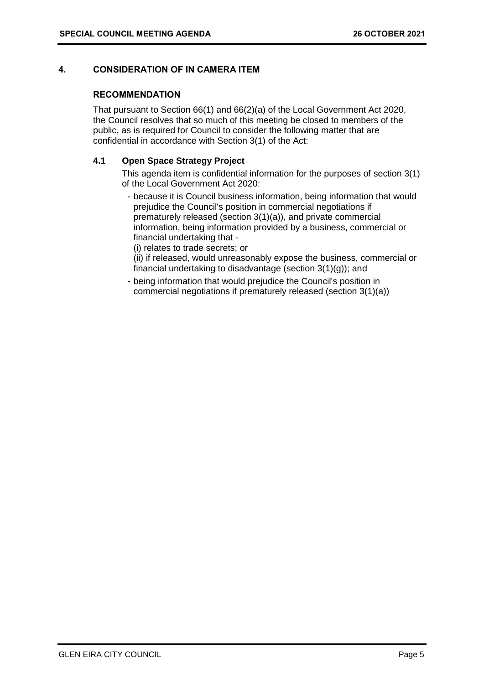### <span id="page-4-1"></span><span id="page-4-0"></span>**4. CONSIDERATION OF IN CAMERA ITEM**

#### **RECOMMENDATION**

That pursuant to Section 66(1) and 66(2)(a) of the Local Government Act 2020, the Council resolves that so much of this meeting be closed to members of the public, as is required for Council to consider the following matter that are confidential in accordance with Section 3(1) of the Act:

#### **4.1 Open Space Strategy Project**

This agenda item is confidential information for the purposes of section 3(1) of the Local Government Act 2020:

- because it is Council business information, being information that would prejudice the Council's position in commercial negotiations if prematurely released (section 3(1)(a)), and private commercial information, being information provided by a business, commercial or financial undertaking that -

(i) relates to trade secrets; or

(ii) if released, would unreasonably expose the business, commercial or financial undertaking to disadvantage (section 3(1)(g)); and

- being information that would prejudice the Council's position in commercial negotiations if prematurely released (section 3(1)(a))